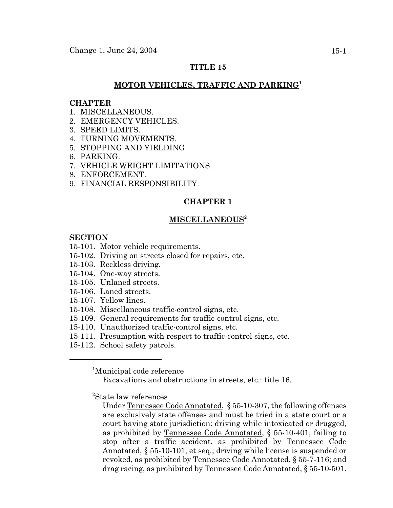# **TITLE 15**

## **MOTOR VEHICLES, TRAFFIC AND PARKING<sup>1</sup>**

#### **CHAPTER**

- 1 MISCELLANEOUS
- 2. EMERGENCY VEHICLES.
- 3. SPEED LIMITS.
- 4. TURNING MOVEMENTS.
- 5. STOPPING AND YIELDING.
- 6. PARKING.
- 7. VEHICLE WEIGHT LIMITATIONS.
- 8. ENFORCEMENT.
- 9. FINANCIAL RESPONSIBILITY.

### **CHAPTER 1**

#### **MISCELLANEOUS2**

## **SECTION**

#### 15-101. Motor vehicle requirements.

- 15-102. Driving on streets closed for repairs, etc.
- 15-103. Reckless driving.
- 15-104. One-way streets.
- 15-105. Unlaned streets.
- 15-106. Laned streets.
- 15-107. Yellow lines.
- 15-108. Miscellaneous traffic-control signs, etc.
- 15-109. General requirements for traffic-control signs, etc.
- 15-110. Unauthorized traffic-control signs, etc.
- 15-111. Presumption with respect to traffic-control signs, etc.
- 15-112. School safety patrols.

<sup>1</sup>Municipal code reference

Excavations and obstructions in streets, etc.: title 16.

2 State law references

Under Tennessee Code Annotated, § 55-10-307, the following offenses are exclusively state offenses and must be tried in a state court or a court having state jurisdiction: driving while intoxicated or drugged, as prohibited by Tennessee Code Annotated, § 55-10-401; failing to stop after a traffic accident, as prohibited by Tennessee Code Annotated,  $\S 55{\text -}10{\text -}101$ , et seq.; driving while license is suspended or revoked, as prohibited by Tennessee Code Annotated, § 55-7-116; and drag racing, as prohibited by Tennessee Code Annotated, § 55-10-501.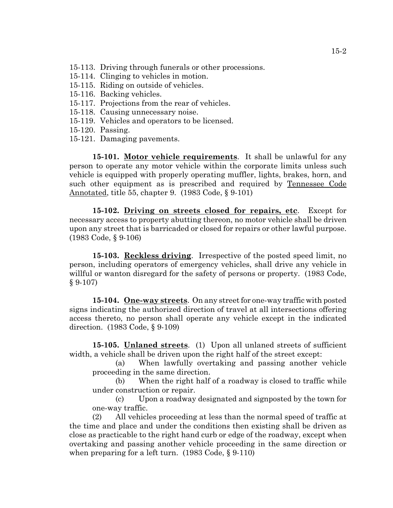- 15-113. Driving through funerals or other processions.
- 15-114. Clinging to vehicles in motion.
- 15-115. Riding on outside of vehicles.
- 15-116. Backing vehicles.
- 15-117. Projections from the rear of vehicles.
- 15-118. Causing unnecessary noise.
- 15-119. Vehicles and operators to be licensed.
- 15-120. Passing.
- 15-121. Damaging pavements.

**15-101. Motor vehicle requirements**. It shall be unlawful for any person to operate any motor vehicle within the corporate limits unless such vehicle is equipped with properly operating muffler, lights, brakes, horn, and such other equipment as is prescribed and required by Tennessee Code Annotated, title 55, chapter 9. (1983 Code, § 9-101)

**15-102. Driving on streets closed for repairs, etc**. Except for necessary access to property abutting thereon, no motor vehicle shall be driven upon any street that is barricaded or closed for repairs or other lawful purpose. (1983 Code, § 9-106)

**15-103. Reckless driving**. Irrespective of the posted speed limit, no person, including operators of emergency vehicles, shall drive any vehicle in willful or wanton disregard for the safety of persons or property. (1983 Code, § 9-107)

**15-104. One-way streets**. On any street for one-way traffic with posted signs indicating the authorized direction of travel at all intersections offering access thereto, no person shall operate any vehicle except in the indicated direction. (1983 Code, § 9-109)

**15-105. Unlaned streets**. (1) Upon all unlaned streets of sufficient width, a vehicle shall be driven upon the right half of the street except:

(a) When lawfully overtaking and passing another vehicle proceeding in the same direction.

(b) When the right half of a roadway is closed to traffic while under construction or repair.

(c) Upon a roadway designated and signposted by the town for one-way traffic.

(2) All vehicles proceeding at less than the normal speed of traffic at the time and place and under the conditions then existing shall be driven as close as practicable to the right hand curb or edge of the roadway, except when overtaking and passing another vehicle proceeding in the same direction or when preparing for a left turn. (1983 Code, § 9-110)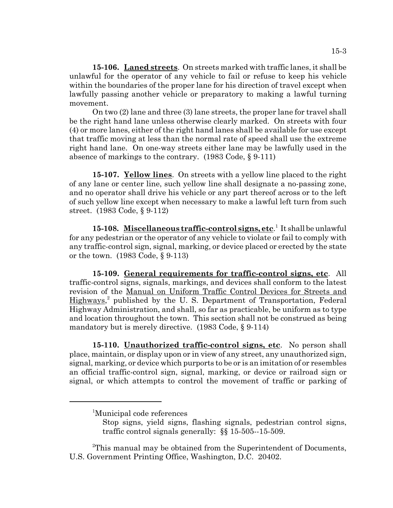**15-106. Laned streets**. On streets marked with traffic lanes, it shall be unlawful for the operator of any vehicle to fail or refuse to keep his vehicle within the boundaries of the proper lane for his direction of travel except when lawfully passing another vehicle or preparatory to making a lawful turning movement.

On two (2) lane and three (3) lane streets, the proper lane for travel shall be the right hand lane unless otherwise clearly marked. On streets with four (4) or more lanes, either of the right hand lanes shall be available for use except that traffic moving at less than the normal rate of speed shall use the extreme right hand lane. On one-way streets either lane may be lawfully used in the absence of markings to the contrary. (1983 Code, § 9-111)

**15-107. Yellow lines**. On streets with a yellow line placed to the right of any lane or center line, such yellow line shall designate a no-passing zone, and no operator shall drive his vehicle or any part thereof across or to the left of such yellow line except when necessary to make a lawful left turn from such street. (1983 Code, § 9-112)

15-108. Miscellaneous traffic-control signs, etc.<sup>1</sup> It shall be unlawful for any pedestrian or the operator of any vehicle to violate or fail to comply with any traffic-control sign, signal, marking, or device placed or erected by the state or the town. (1983 Code, § 9-113)

**15-109. General requirements for traffic-control signs, etc**. All traffic-control signs, signals, markings, and devices shall conform to the latest revision of the Manual on Uniform Traffic Control Devices for Streets and Highways,<sup>2</sup> published by the U.S. Department of Transportation, Federal Highway Administration, and shall, so far as practicable, be uniform as to type and location throughout the town. This section shall not be construed as being mandatory but is merely directive. (1983 Code, § 9-114)

**15-110. Unauthorized traffic-control signs, etc**. No person shall place, maintain, or display upon or in view of any street, any unauthorized sign, signal, marking, or device which purports to be or is an imitation of or resembles an official traffic-control sign, signal, marking, or device or railroad sign or signal, or which attempts to control the movement of traffic or parking of

<sup>1</sup> Municipal code references

Stop signs, yield signs, flashing signals, pedestrian control signs, traffic control signals generally: §§ 15-505--15-509.

<sup>&</sup>lt;sup>2</sup>This manual may be obtained from the Superintendent of Documents, U.S. Government Printing Office, Washington, D.C. 20402.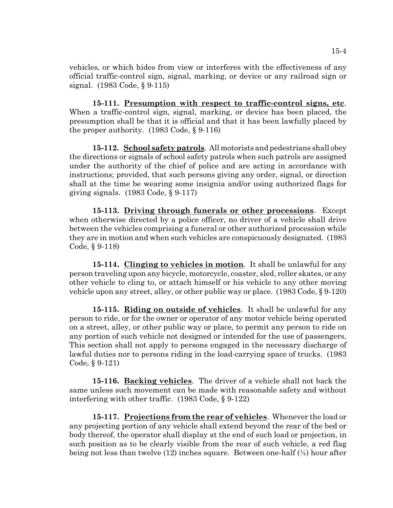vehicles, or which hides from view or interferes with the effectiveness of any official traffic-control sign, signal, marking, or device or any railroad sign or signal. (1983 Code, § 9-115)

**15-111. Presumption with respect to traffic-control signs, etc**. When a traffic-control sign, signal, marking, or device has been placed, the presumption shall be that it is official and that it has been lawfully placed by the proper authority. (1983 Code, § 9-116)

**15-112. School safety patrols**. All motorists and pedestrians shall obey the directions or signals of school safety patrols when such patrols are assigned under the authority of the chief of police and are acting in accordance with instructions; provided, that such persons giving any order, signal, or direction shall at the time be wearing some insignia and/or using authorized flags for giving signals. (1983 Code, § 9-117)

**15-113. Driving through funerals or other processions**. Except when otherwise directed by a police officer, no driver of a vehicle shall drive between the vehicles comprising a funeral or other authorized procession while they are in motion and when such vehicles are conspicuously designated. (1983 Code, § 9-118)

**15-114. Clinging to vehicles in motion**. It shall be unlawful for any person traveling upon any bicycle, motorcycle, coaster, sled, roller skates, or any other vehicle to cling to, or attach himself or his vehicle to any other moving vehicle upon any street, alley, or other public way or place. (1983 Code, § 9-120)

**15-115. Riding on outside of vehicles**. It shall be unlawful for any person to ride, or for the owner or operator of any motor vehicle being operated on a street, alley, or other public way or place, to permit any person to ride on any portion of such vehicle not designed or intended for the use of passengers. This section shall not apply to persons engaged in the necessary discharge of lawful duties nor to persons riding in the load-carrying space of trucks. (1983 Code, § 9-121)

**15-116. Backing vehicles**. The driver of a vehicle shall not back the same unless such movement can be made with reasonable safety and without interfering with other traffic. (1983 Code, § 9-122)

**15-117. Projections from the rear of vehicles**. Whenever the load or any projecting portion of any vehicle shall extend beyond the rear of the bed or body thereof, the operator shall display at the end of such load or projection, in such position as to be clearly visible from the rear of such vehicle, a red flag being not less than twelve (12) inches square. Between one-half (½) hour after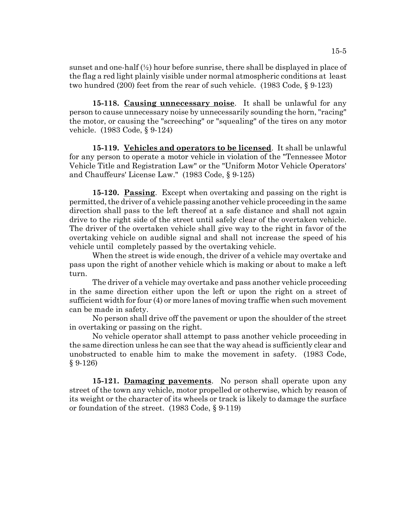sunset and one-half  $(\frac{1}{2})$  hour before sunrise, there shall be displayed in place of the flag a red light plainly visible under normal atmospheric conditions at least two hundred (200) feet from the rear of such vehicle. (1983 Code, § 9-123)

**15-118. Causing unnecessary noise**. It shall be unlawful for any person to cause unnecessary noise by unnecessarily sounding the horn, "racing" the motor, or causing the "screeching" or "squealing" of the tires on any motor vehicle. (1983 Code, § 9-124)

**15-119. Vehicles and operators to be licensed**. It shall be unlawful for any person to operate a motor vehicle in violation of the "Tennessee Motor Vehicle Title and Registration Law" or the "Uniform Motor Vehicle Operators' and Chauffeurs' License Law." (1983 Code, § 9-125)

**15-120. Passing**. Except when overtaking and passing on the right is permitted, the driver of a vehicle passing another vehicle proceeding in the same direction shall pass to the left thereof at a safe distance and shall not again drive to the right side of the street until safely clear of the overtaken vehicle. The driver of the overtaken vehicle shall give way to the right in favor of the overtaking vehicle on audible signal and shall not increase the speed of his vehicle until completely passed by the overtaking vehicle.

When the street is wide enough, the driver of a vehicle may overtake and pass upon the right of another vehicle which is making or about to make a left turn.

The driver of a vehicle may overtake and pass another vehicle proceeding in the same direction either upon the left or upon the right on a street of sufficient width for four (4) or more lanes of moving traffic when such movement can be made in safety.

No person shall drive off the pavement or upon the shoulder of the street in overtaking or passing on the right.

No vehicle operator shall attempt to pass another vehicle proceeding in the same direction unless he can see that the way ahead is sufficiently clear and unobstructed to enable him to make the movement in safety. (1983 Code, § 9-126)

**15-121. Damaging pavements**. No person shall operate upon any street of the town any vehicle, motor propelled or otherwise, which by reason of its weight or the character of its wheels or track is likely to damage the surface or foundation of the street. (1983 Code, § 9-119)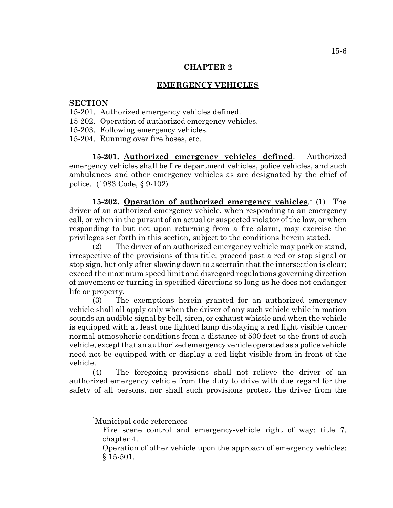#### **EMERGENCY VEHICLES**

# **SECTION**

- 15-201. Authorized emergency vehicles defined.
- 15-202. Operation of authorized emergency vehicles.
- 15-203. Following emergency vehicles.
- 15-204. Running over fire hoses, etc.

**15-201. Authorized emergency vehicles defined**. Authorized emergency vehicles shall be fire department vehicles, police vehicles, and such ambulances and other emergency vehicles as are designated by the chief of police. (1983 Code, § 9-102)

15-202. **Operation of authorized emergency vehicles.**<sup>1</sup> (1) The driver of an authorized emergency vehicle, when responding to an emergency call, or when in the pursuit of an actual or suspected violator of the law, or when responding to but not upon returning from a fire alarm, may exercise the privileges set forth in this section, subject to the conditions herein stated.

(2) The driver of an authorized emergency vehicle may park or stand, irrespective of the provisions of this title; proceed past a red or stop signal or stop sign, but only after slowing down to ascertain that the intersection is clear; exceed the maximum speed limit and disregard regulations governing direction of movement or turning in specified directions so long as he does not endanger life or property.

(3) The exemptions herein granted for an authorized emergency vehicle shall all apply only when the driver of any such vehicle while in motion sounds an audible signal by bell, siren, or exhaust whistle and when the vehicle is equipped with at least one lighted lamp displaying a red light visible under normal atmospheric conditions from a distance of 500 feet to the front of such vehicle, except that an authorized emergency vehicle operated as a police vehicle need not be equipped with or display a red light visible from in front of the vehicle.

(4) The foregoing provisions shall not relieve the driver of an authorized emergency vehicle from the duty to drive with due regard for the safety of all persons, nor shall such provisions protect the driver from the

<sup>1</sup> Municipal code references

Fire scene control and emergency-vehicle right of way: title 7, chapter 4.

Operation of other vehicle upon the approach of emergency vehicles: § 15-501.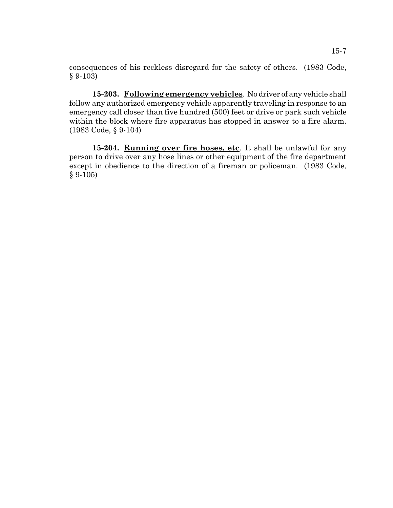consequences of his reckless disregard for the safety of others. (1983 Code, § 9-103)

**15-203. Following emergency vehicles**. No driver of any vehicle shall follow any authorized emergency vehicle apparently traveling in response to an emergency call closer than five hundred (500) feet or drive or park such vehicle within the block where fire apparatus has stopped in answer to a fire alarm. (1983 Code, § 9-104)

15-204. **Running over fire hoses, etc**. It shall be unlawful for any person to drive over any hose lines or other equipment of the fire department except in obedience to the direction of a fireman or policeman. (1983 Code,  $§ 9-105)$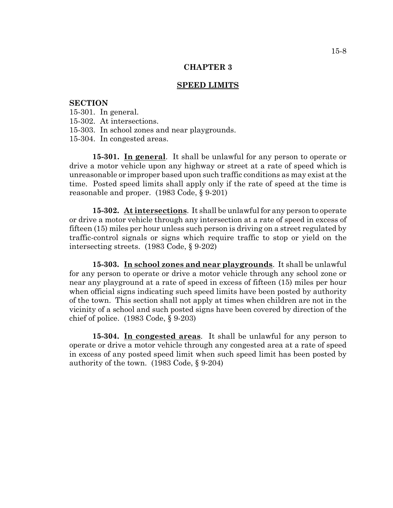#### **SPEED LIMITS**

### **SECTION**

15-301. In general.

- 15-302. At intersections.
- 15-303. In school zones and near playgrounds.

15-304. In congested areas.

**15-301. In general**. It shall be unlawful for any person to operate or drive a motor vehicle upon any highway or street at a rate of speed which is unreasonable or improper based upon such traffic conditions as may exist at the time. Posted speed limits shall apply only if the rate of speed at the time is reasonable and proper. (1983 Code, § 9-201)

**15-302. At intersections**. It shall be unlawful for any person to operate or drive a motor vehicle through any intersection at a rate of speed in excess of fifteen (15) miles per hour unless such person is driving on a street regulated by traffic-control signals or signs which require traffic to stop or yield on the intersecting streets. (1983 Code, § 9-202)

**15-303. In school zones and near playgrounds**. It shall be unlawful for any person to operate or drive a motor vehicle through any school zone or near any playground at a rate of speed in excess of fifteen (15) miles per hour when official signs indicating such speed limits have been posted by authority of the town. This section shall not apply at times when children are not in the vicinity of a school and such posted signs have been covered by direction of the chief of police. (1983 Code, § 9-203)

**15-304. In congested areas**. It shall be unlawful for any person to operate or drive a motor vehicle through any congested area at a rate of speed in excess of any posted speed limit when such speed limit has been posted by authority of the town. (1983 Code, § 9-204)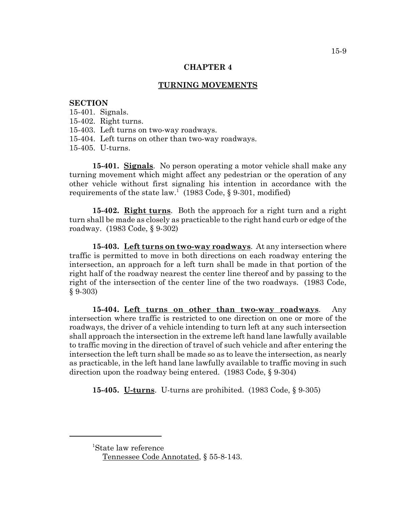### **TURNING MOVEMENTS**

#### **SECTION**

15-401. Signals.

- 15-402. Right turns.
- 15-403. Left turns on two-way roadways.
- 15-404. Left turns on other than two-way roadways.

15-405. U-turns.

**15-401. Signals**. No person operating a motor vehicle shall make any turning movement which might affect any pedestrian or the operation of any other vehicle without first signaling his intention in accordance with the requirements of the state law.<sup>1</sup> (1983 Code, § 9-301, modified)

**15-402. Right turns**. Both the approach for a right turn and a right turn shall be made as closely as practicable to the right hand curb or edge of the roadway. (1983 Code, § 9-302)

**15-403. Left turns on two-way roadways**. At any intersection where traffic is permitted to move in both directions on each roadway entering the intersection, an approach for a left turn shall be made in that portion of the right half of the roadway nearest the center line thereof and by passing to the right of the intersection of the center line of the two roadways. (1983 Code, § 9-303)

**15-404. Left turns on other than two-way roadways**. Any intersection where traffic is restricted to one direction on one or more of the roadways, the driver of a vehicle intending to turn left at any such intersection shall approach the intersection in the extreme left hand lane lawfully available to traffic moving in the direction of travel of such vehicle and after entering the intersection the left turn shall be made so as to leave the intersection, as nearly as practicable, in the left hand lane lawfully available to traffic moving in such direction upon the roadway being entered. (1983 Code, § 9-304)

**15-405. U-turns**. U-turns are prohibited. (1983 Code, § 9-305)

<sup>1</sup> State law reference

Tennessee Code Annotated, § 55-8-143.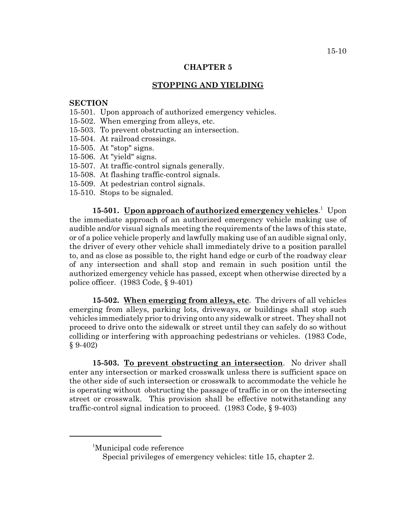## **STOPPING AND YIELDING**

# **SECTION**

- 15-501. Upon approach of authorized emergency vehicles.
- 15-502. When emerging from alleys, etc.
- 15-503. To prevent obstructing an intersection.
- 15-504. At railroad crossings.
- 15-505. At "stop" signs.
- 15-506. At "yield" signs.
- 15-507. At traffic-control signals generally.
- 15-508. At flashing traffic-control signals.
- 15-509. At pedestrian control signals.
- 15-510. Stops to be signaled.

15-501. **Upon approach of authorized emergency vehicles**.<sup>1</sup> Upon the immediate approach of an authorized emergency vehicle making use of audible and/or visual signals meeting the requirements of the laws of this state, or of a police vehicle properly and lawfully making use of an audible signal only, the driver of every other vehicle shall immediately drive to a position parallel to, and as close as possible to, the right hand edge or curb of the roadway clear of any intersection and shall stop and remain in such position until the authorized emergency vehicle has passed, except when otherwise directed by a police officer. (1983 Code, § 9-401)

**15-502. When emerging from alleys, etc**. The drivers of all vehicles emerging from alleys, parking lots, driveways, or buildings shall stop such vehicles immediately prior to driving onto any sidewalk or street. They shall not proceed to drive onto the sidewalk or street until they can safely do so without colliding or interfering with approaching pedestrians or vehicles. (1983 Code, § 9-402)

**15-503. To prevent obstructing an intersection**. No driver shall enter any intersection or marked crosswalk unless there is sufficient space on the other side of such intersection or crosswalk to accommodate the vehicle he is operating without obstructing the passage of traffic in or on the intersecting street or crosswalk. This provision shall be effective notwithstanding any traffic-control signal indication to proceed. (1983 Code, § 9-403)

<sup>1</sup> Municipal code reference

Special privileges of emergency vehicles: title 15, chapter 2.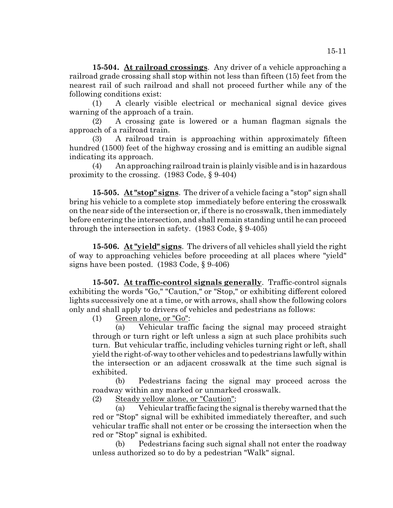**15-504. At railroad crossings**. Any driver of a vehicle approaching a railroad grade crossing shall stop within not less than fifteen (15) feet from the nearest rail of such railroad and shall not proceed further while any of the following conditions exist:

(1) A clearly visible electrical or mechanical signal device gives warning of the approach of a train.

(2) A crossing gate is lowered or a human flagman signals the approach of a railroad train.

(3) A railroad train is approaching within approximately fifteen hundred (1500) feet of the highway crossing and is emitting an audible signal indicating its approach.

(4) An approaching railroad train is plainly visible and is in hazardous proximity to the crossing. (1983 Code, § 9-404)

**15-505. At "stop" signs**. The driver of a vehicle facing a "stop" sign shall bring his vehicle to a complete stop immediately before entering the crosswalk on the near side of the intersection or, if there is no crosswalk, then immediately before entering the intersection, and shall remain standing until he can proceed through the intersection in safety. (1983 Code, § 9-405)

**15-506. At "yield" signs**. The drivers of all vehicles shall yield the right of way to approaching vehicles before proceeding at all places where "yield" signs have been posted. (1983 Code, § 9-406)

**15-507. At traffic-control signals generally**. Traffic-control signals exhibiting the words "Go," "Caution," or "Stop," or exhibiting different colored lights successively one at a time, or with arrows, shall show the following colors only and shall apply to drivers of vehicles and pedestrians as follows:

(1) Green alone, or "Go":

(a) Vehicular traffic facing the signal may proceed straight through or turn right or left unless a sign at such place prohibits such turn. But vehicular traffic, including vehicles turning right or left, shall yield the right-of-way to other vehicles and to pedestrians lawfully within the intersection or an adjacent crosswalk at the time such signal is exhibited.

(b) Pedestrians facing the signal may proceed across the roadway within any marked or unmarked crosswalk.

(2) Steady yellow alone, or "Caution":

(a) Vehicular traffic facing the signal is thereby warned that the red or "Stop" signal will be exhibited immediately thereafter, and such vehicular traffic shall not enter or be crossing the intersection when the red or "Stop" signal is exhibited.

(b) Pedestrians facing such signal shall not enter the roadway unless authorized so to do by a pedestrian "Walk" signal.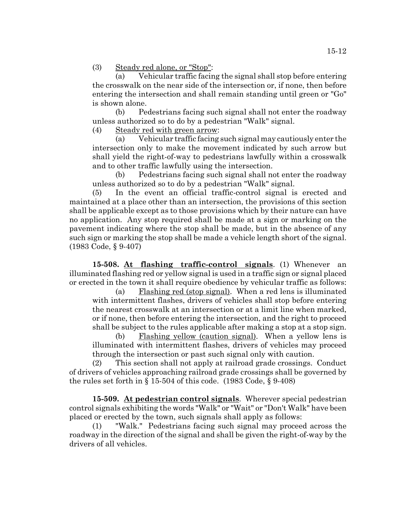(3) Steady red alone, or "Stop":

(a) Vehicular traffic facing the signal shall stop before entering the crosswalk on the near side of the intersection or, if none, then before entering the intersection and shall remain standing until green or "Go" is shown alone.

(b) Pedestrians facing such signal shall not enter the roadway unless authorized so to do by a pedestrian "Walk" signal.

(4) Steady red with green arrow:

(a) Vehicular traffic facing such signal may cautiously enter the intersection only to make the movement indicated by such arrow but shall yield the right-of-way to pedestrians lawfully within a crosswalk and to other traffic lawfully using the intersection.

(b) Pedestrians facing such signal shall not enter the roadway unless authorized so to do by a pedestrian "Walk" signal.

(5) In the event an official traffic-control signal is erected and maintained at a place other than an intersection, the provisions of this section shall be applicable except as to those provisions which by their nature can have no application. Any stop required shall be made at a sign or marking on the pavement indicating where the stop shall be made, but in the absence of any such sign or marking the stop shall be made a vehicle length short of the signal. (1983 Code, § 9-407)

**15-508. At flashing traffic-control signals**. (1) Whenever an illuminated flashing red or yellow signal is used in a traffic sign or signal placed or erected in the town it shall require obedience by vehicular traffic as follows:

(a) Flashing red (stop signal). When a red lens is illuminated with intermittent flashes, drivers of vehicles shall stop before entering the nearest crosswalk at an intersection or at a limit line when marked, or if none, then before entering the intersection, and the right to proceed shall be subject to the rules applicable after making a stop at a stop sign.

(b) Flashing yellow (caution signal). When a yellow lens is illuminated with intermittent flashes, drivers of vehicles may proceed through the intersection or past such signal only with caution.

(2) This section shall not apply at railroad grade crossings. Conduct of drivers of vehicles approaching railroad grade crossings shall be governed by the rules set forth in  $\S 15-504$  of this code. (1983 Code,  $\S 9-408$ )

**15-509. At pedestrian control signals**. Wherever special pedestrian control signals exhibiting the words "Walk" or "Wait" or "Don't Walk" have been placed or erected by the town, such signals shall apply as follows:

(1) "Walk." Pedestrians facing such signal may proceed across the roadway in the direction of the signal and shall be given the right-of-way by the drivers of all vehicles.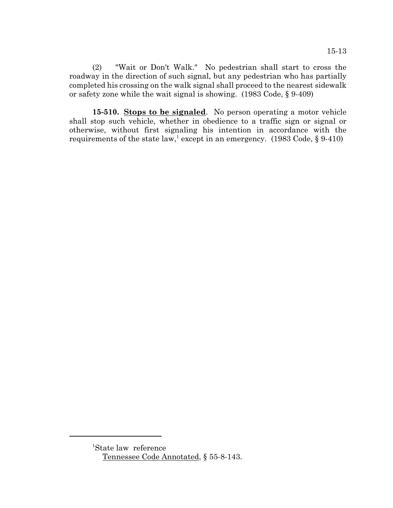(2) "Wait or Don't Walk." No pedestrian shall start to cross the roadway in the direction of such signal, but any pedestrian who has partially completed his crossing on the walk signal shall proceed to the nearest sidewalk or safety zone while the wait signal is showing. (1983 Code, § 9-409)

**15-510. Stops to be signaled**. No person operating a motor vehicle shall stop such vehicle, whether in obedience to a traffic sign or signal or otherwise, without first signaling his intention in accordance with the requirements of the state law,<sup>1</sup> except in an emergency. (1983 Code, § 9-410)

<sup>1</sup> State law reference Tennessee Code Annotated, § 55-8-143.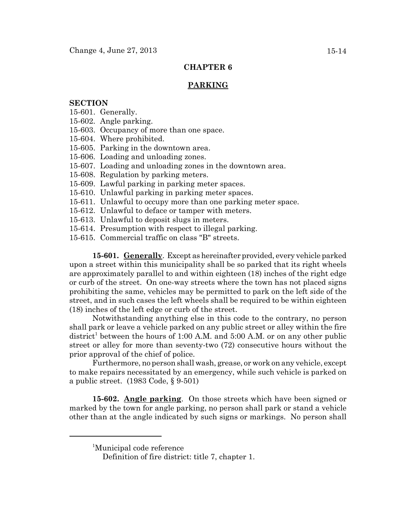## **PARKING**

## **SECTION**

- 15-601. Generally.
- 15-602. Angle parking.
- 15-603. Occupancy of more than one space.
- 15-604. Where prohibited.
- 15-605. Parking in the downtown area.
- 15-606. Loading and unloading zones.
- 15-607. Loading and unloading zones in the downtown area.
- 15-608. Regulation by parking meters.
- 15-609. Lawful parking in parking meter spaces.
- 15-610. Unlawful parking in parking meter spaces.
- 15-611. Unlawful to occupy more than one parking meter space.
- 15-612. Unlawful to deface or tamper with meters.
- 15-613. Unlawful to deposit slugs in meters.
- 15-614. Presumption with respect to illegal parking.
- 15-615. Commercial traffic on class "B" streets.

**15-601. Generally**. Except as hereinafter provided, every vehicle parked upon a street within this municipality shall be so parked that its right wheels are approximately parallel to and within eighteen (18) inches of the right edge or curb of the street. On one-way streets where the town has not placed signs prohibiting the same, vehicles may be permitted to park on the left side of the street, and in such cases the left wheels shall be required to be within eighteen (18) inches of the left edge or curb of the street.

Notwithstanding anything else in this code to the contrary, no person shall park or leave a vehicle parked on any public street or alley within the fire district<sup>1</sup> between the hours of 1:00 A.M. and 5:00 A.M. or on any other public street or alley for more than seventy-two (72) consecutive hours without the prior approval of the chief of police.

Furthermore, no person shall wash, grease, or work on any vehicle, except to make repairs necessitated by an emergency, while such vehicle is parked on a public street. (1983 Code, § 9-501)

**15-602. Angle parking**. On those streets which have been signed or marked by the town for angle parking, no person shall park or stand a vehicle other than at the angle indicated by such signs or markings. No person shall

<sup>1</sup> Municipal code reference

Definition of fire district: title 7, chapter 1.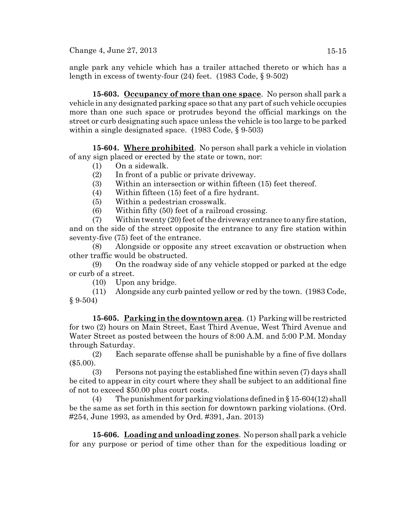$Change\ 4, June\ 27, 2013$  15-15

angle park any vehicle which has a trailer attached thereto or which has a length in excess of twenty-four (24) feet. (1983 Code, § 9-502)

**15-603. Occupancy of more than one space**. No person shall park a vehicle in any designated parking space so that any part of such vehicle occupies more than one such space or protrudes beyond the official markings on the street or curb designating such space unless the vehicle is too large to be parked within a single designated space. (1983 Code, § 9-503)

**15-604. Where prohibited**. No person shall park a vehicle in violation of any sign placed or erected by the state or town, nor:

- (1) On a sidewalk.
- (2) In front of a public or private driveway.
- (3) Within an intersection or within fifteen (15) feet thereof.
- (4) Within fifteen (15) feet of a fire hydrant.
- (5) Within a pedestrian crosswalk.

(6) Within fifty (50) feet of a railroad crossing.

(7) Within twenty (20) feet of the driveway entrance to any fire station, and on the side of the street opposite the entrance to any fire station within seventy-five (75) feet of the entrance.

(8) Alongside or opposite any street excavation or obstruction when other traffic would be obstructed.

(9) On the roadway side of any vehicle stopped or parked at the edge or curb of a street.

(10) Upon any bridge.

(11) Alongside any curb painted yellow or red by the town. (1983 Code, § 9-504)

**15-605. Parking in the downtown area**. (1) Parking will be restricted for two (2) hours on Main Street, East Third Avenue, West Third Avenue and Water Street as posted between the hours of 8:00 A.M. and 5:00 P.M. Monday through Saturday.

(2) Each separate offense shall be punishable by a fine of five dollars (\$5.00).

(3) Persons not paying the established fine within seven (7) days shall be cited to appear in city court where they shall be subject to an additional fine of not to exceed \$50.00 plus court costs.

(4) The punishment for parking violations defined in  $\S 15-604(12)$  shall be the same as set forth in this section for downtown parking violations. (Ord. #254, June 1993, as amended by Ord. #391, Jan. 2013)

**15-606. Loading and unloading zones**. No person shall park a vehicle for any purpose or period of time other than for the expeditious loading or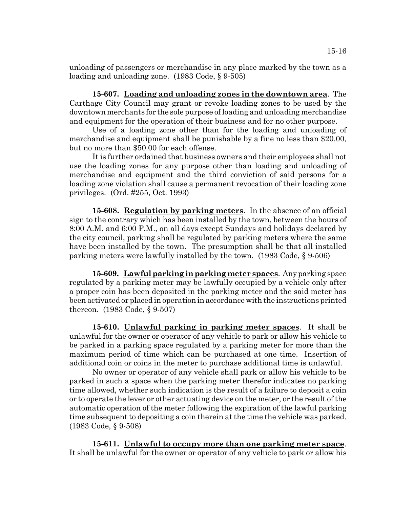unloading of passengers or merchandise in any place marked by the town as a loading and unloading zone. (1983 Code, § 9-505)

**15-607. Loading and unloading zones in the downtown area**. The Carthage City Council may grant or revoke loading zones to be used by the downtown merchants for the sole purpose of loading and unloading merchandise and equipment for the operation of their business and for no other purpose.

Use of a loading zone other than for the loading and unloading of merchandise and equipment shall be punishable by a fine no less than \$20.00, but no more than \$50.00 for each offense.

It is further ordained that business owners and their employees shall not use the loading zones for any purpose other than loading and unloading of merchandise and equipment and the third conviction of said persons for a loading zone violation shall cause a permanent revocation of their loading zone privileges. (Ord. #255, Oct. 1993)

**15-608. Regulation by parking meters**. In the absence of an official sign to the contrary which has been installed by the town, between the hours of 8:00 A.M. and 6:00 P.M., on all days except Sundays and holidays declared by the city council, parking shall be regulated by parking meters where the same have been installed by the town. The presumption shall be that all installed parking meters were lawfully installed by the town. (1983 Code, § 9-506)

**15-609. Lawful parking in parking meter spaces**. Any parking space regulated by a parking meter may be lawfully occupied by a vehicle only after a proper coin has been deposited in the parking meter and the said meter has been activated or placed in operation in accordance with the instructions printed thereon. (1983 Code, § 9-507)

**15-610. Unlawful parking in parking meter spaces**. It shall be unlawful for the owner or operator of any vehicle to park or allow his vehicle to be parked in a parking space regulated by a parking meter for more than the maximum period of time which can be purchased at one time. Insertion of additional coin or coins in the meter to purchase additional time is unlawful.

No owner or operator of any vehicle shall park or allow his vehicle to be parked in such a space when the parking meter therefor indicates no parking time allowed, whether such indication is the result of a failure to deposit a coin or to operate the lever or other actuating device on the meter, or the result of the automatic operation of the meter following the expiration of the lawful parking time subsequent to depositing a coin therein at the time the vehicle was parked. (1983 Code, § 9-508)

**15-611. Unlawful to occupy more than one parking meter space**. It shall be unlawful for the owner or operator of any vehicle to park or allow his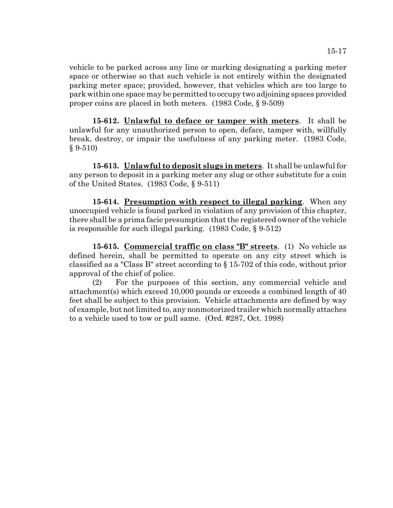vehicle to be parked across any line or marking designating a parking meter space or otherwise so that such vehicle is not entirely within the designated parking meter space; provided, however, that vehicles which are too large to park within one space may be permitted to occupy two adjoining spaces provided proper coins are placed in both meters. (1983 Code, § 9-509)

**15-612. Unlawful to deface or tamper with meters**. It shall be unlawful for any unauthorized person to open, deface, tamper with, willfully break, destroy, or impair the usefulness of any parking meter. (1983 Code, § 9-510)

**15-613. Unlawful to deposit slugs in meters**. It shall be unlawful for any person to deposit in a parking meter any slug or other substitute for a coin of the United States. (1983 Code, § 9-511)

**15-614. Presumption with respect to illegal parking**. When any unoccupied vehicle is found parked in violation of any provision of this chapter, there shall be a prima facie presumption that the registered owner of the vehicle is responsible for such illegal parking. (1983 Code, § 9-512)

**15-615. Commercial traffic on class "B" streets**. (1) No vehicle as defined herein, shall be permitted to operate on any city street which is classified as a "Class B" street according to § 15-702 of this code, without prior approval of the chief of police.

(2) For the purposes of this section, any commercial vehicle and attachment(s) which exceed 10,000 pounds or exceeds a combined length of 40 feet shall be subject to this provision. Vehicle attachments are defined by way of example, but not limited to, any nonmotorized trailer which normally attaches to a vehicle used to tow or pull same. (Ord. #287, Oct. 1998)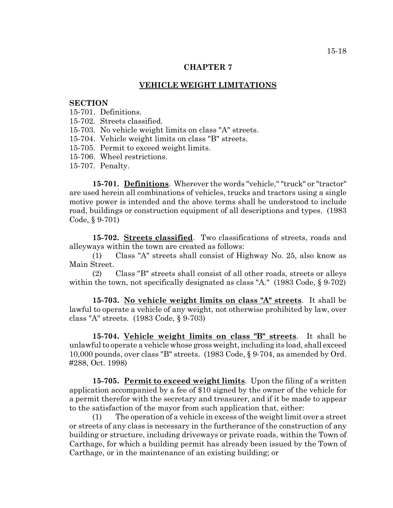#### **VEHICLE WEIGHT LIMITATIONS**

#### **SECTION**

15-701. Definitions.

15-702. Streets classified.

15-703. No vehicle weight limits on class "A" streets.

15-704. Vehicle weight limits on class "B" streets.

15-705. Permit to exceed weight limits.

15-706. Wheel restrictions.

15-707. Penalty.

**15-701. Definitions**. Wherever the words "vehicle," "truck" or "tractor" are used herein all combinations of vehicles, trucks and tractors using a single motive power is intended and the above terms shall be understood to include road, buildings or construction equipment of all descriptions and types. (1983 Code, § 9-701)

**15-702. Streets classified**. Two classifications of streets, roads and alleyways within the town are created as follows:

(1) Class "A" streets shall consist of Highway No. 25, also know as Main Street.

(2) Class "B" streets shall consist of all other roads, streets or alleys within the town, not specifically designated as class "A." (1983 Code, § 9-702)

**15-703. No vehicle weight limits on class "A" streets**. It shall be lawful to operate a vehicle of any weight, not otherwise prohibited by law, over class "A" streets. (1983 Code, § 9-703)

**15-704. Vehicle weight limits on class "B" streets**. It shall be unlawful to operate a vehicle whose gross weight, including its load, shall exceed 10,000 pounds, over class "B" streets. (1983 Code, § 9-704, as amended by Ord. #288, Oct. 1998)

**15-705. Permit to exceed weight limits**. Upon the filing of a written application accompanied by a fee of \$10 signed by the owner of the vehicle for a permit therefor with the secretary and treasurer, and if it be made to appear to the satisfaction of the mayor from such application that, either:

(1) The operation of a vehicle in excess of the weight limit over a street or streets of any class is necessary in the furtherance of the construction of any building or structure, including driveways or private roads, within the Town of Carthage, for which a building permit has already been issued by the Town of Carthage, or in the maintenance of an existing building; or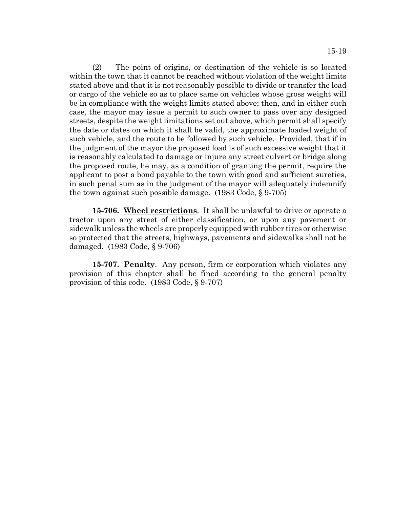15-19

(2) The point of origins, or destination of the vehicle is so located within the town that it cannot be reached without violation of the weight limits stated above and that it is not reasonably possible to divide or transfer the load or cargo of the vehicle so as to place same on vehicles whose gross weight will be in compliance with the weight limits stated above; then, and in either such case, the mayor may issue a permit to such owner to pass over any designed streets, despite the weight limitations set out above, which permit shall specify the date or dates on which it shall be valid, the approximate loaded weight of such vehicle, and the route to be followed by such vehicle. Provided, that if in the judgment of the mayor the proposed load is of such excessive weight that it is reasonably calculated to damage or injure any street culvert or bridge along the proposed route, he may, as a condition of granting the permit, require the applicant to post a bond payable to the town with good and sufficient sureties, in such penal sum as in the judgment of the mayor will adequately indemnify the town against such possible damage. (1983 Code, § 9-705)

**15-706. Wheel restrictions**. It shall be unlawful to drive or operate a tractor upon any street of either classification, or upon any pavement or sidewalk unless the wheels are properly equipped with rubber tires or otherwise so protected that the streets, highways, pavements and sidewalks shall not be damaged. (1983 Code, § 9-706)

**15-707. Penalty**. Any person, firm or corporation which violates any provision of this chapter shall be fined according to the general penalty provision of this code. (1983 Code, § 9-707)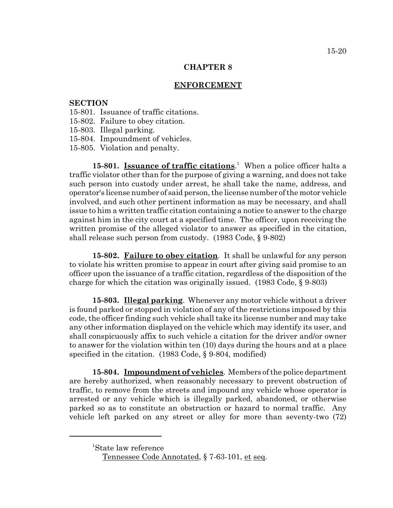## **ENFORCEMENT**

# **SECTION**

- 15-801. Issuance of traffic citations.
- 15-802. Failure to obey citation.
- 15-803. Illegal parking.
- 15-804. Impoundment of vehicles.
- 15-805. Violation and penalty.

15-801. **Issuance of traffic citations**.<sup>1</sup> When a police officer halts a traffic violator other than for the purpose of giving a warning, and does not take such person into custody under arrest, he shall take the name, address, and operator's license number of said person, the license number of the motor vehicle involved, and such other pertinent information as may be necessary, and shall issue to him a written traffic citation containing a notice to answer to the charge against him in the city court at a specified time. The officer, upon receiving the written promise of the alleged violator to answer as specified in the citation, shall release such person from custody. (1983 Code, § 9-802)

**15-802. Failure to obey citation**. It shall be unlawful for any person to violate his written promise to appear in court after giving said promise to an officer upon the issuance of a traffic citation, regardless of the disposition of the charge for which the citation was originally issued. (1983 Code, § 9-803)

**15-803. Illegal parking**. Whenever any motor vehicle without a driver is found parked or stopped in violation of any of the restrictions imposed by this code, the officer finding such vehicle shall take its license number and may take any other information displayed on the vehicle which may identify its user, and shall conspicuously affix to such vehicle a citation for the driver and/or owner to answer for the violation within ten (10) days during the hours and at a place specified in the citation. (1983 Code, § 9-804, modified)

**15-804. Impoundment of vehicles**. Members of the police department are hereby authorized, when reasonably necessary to prevent obstruction of traffic, to remove from the streets and impound any vehicle whose operator is arrested or any vehicle which is illegally parked, abandoned, or otherwise parked so as to constitute an obstruction or hazard to normal traffic. Any vehicle left parked on any street or alley for more than seventy-two (72)

<sup>1</sup> State law reference

Tennessee Code Annotated, § 7-63-101, et seq.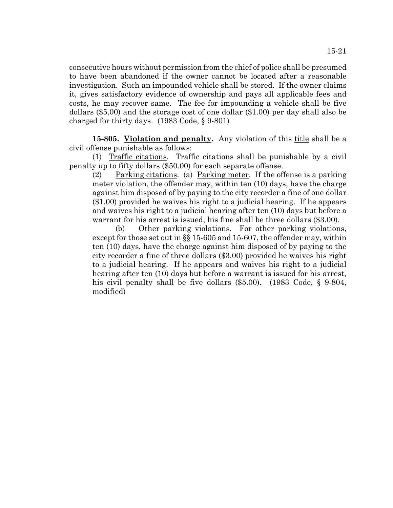consecutive hours without permission from the chief of police shall be presumed to have been abandoned if the owner cannot be located after a reasonable investigation. Such an impounded vehicle shall be stored. If the owner claims it, gives satisfactory evidence of ownership and pays all applicable fees and costs, he may recover same. The fee for impounding a vehicle shall be five dollars (\$5.00) and the storage cost of one dollar (\$1.00) per day shall also be charged for thirty days. (1983 Code, § 9-801)

15-805. Violation and penalty. Any violation of this title shall be a civil offense punishable as follows:

(1) Traffic citations. Traffic citations shall be punishable by a civil penalty up to fifty dollars (\$50.00) for each separate offense.

(2) Parking citations. (a) Parking meter. If the offense is a parking meter violation, the offender may, within ten (10) days, have the charge against him disposed of by paying to the city recorder a fine of one dollar (\$1.00) provided he waives his right to a judicial hearing. If he appears and waives his right to a judicial hearing after ten (10) days but before a warrant for his arrest is issued, his fine shall be three dollars (\$3.00).

(b) Other parking violations. For other parking violations, except for those set out in §§ 15-605 and 15-607, the offender may, within ten (10) days, have the charge against him disposed of by paying to the city recorder a fine of three dollars (\$3.00) provided he waives his right to a judicial hearing. If he appears and waives his right to a judicial hearing after ten (10) days but before a warrant is issued for his arrest, his civil penalty shall be five dollars (\$5.00). (1983 Code, § 9-804, modified)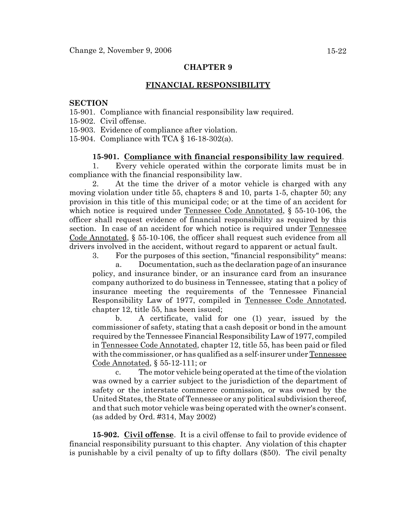## **FINANCIAL RESPONSIBILITY**

### **SECTION**

15-901. Compliance with financial responsibility law required.

15-902. Civil offense.

15-903. Evidence of compliance after violation.

15-904. Compliance with TCA § 16-18-302(a).

### **15-901. Compliance with financial responsibility law required**.

1. Every vehicle operated within the corporate limits must be in compliance with the financial responsibility law.

2. At the time the driver of a motor vehicle is charged with any moving violation under title 55, chapters 8 and 10, parts 1-5, chapter 50; any provision in this title of this municipal code; or at the time of an accident for which notice is required under Tennessee Code Annotated, § 55-10-106, the officer shall request evidence of financial responsibility as required by this section. In case of an accident for which notice is required under Tennessee Code Annotated, § 55-10-106, the officer shall request such evidence from all drivers involved in the accident, without regard to apparent or actual fault.

3. For the purposes of this section, "financial responsibility" means:

a. Documentation, such as the declaration page of an insurance policy, and insurance binder, or an insurance card from an insurance company authorized to do business in Tennessee, stating that a policy of insurance meeting the requirements of the Tennessee Financial Responsibility Law of 1977, compiled in Tennessee Code Annotated, chapter 12, title 55, has been issued;

b. A certificate, valid for one (1) year, issued by the commissioner of safety, stating that a cash deposit or bond in the amount required by the Tennessee Financial Responsibility Law of 1977, compiled in Tennessee Code Annotated, chapter 12, title 55, has been paid or filed with the commissioner, or has qualified as a self-insurer under Tennessee Code Annotated, § 55-12-111; or

c. The motor vehicle being operated at the time of the violation was owned by a carrier subject to the jurisdiction of the department of safety or the interstate commerce commission, or was owned by the United States, the State of Tennessee or any political subdivision thereof, and that such motor vehicle was being operated with the owner's consent. (as added by Ord. #314, May 2002)

**15-902. Civil offense**. It is a civil offense to fail to provide evidence of financial responsibility pursuant to this chapter. Any violation of this chapter is punishable by a civil penalty of up to fifty dollars (\$50). The civil penalty